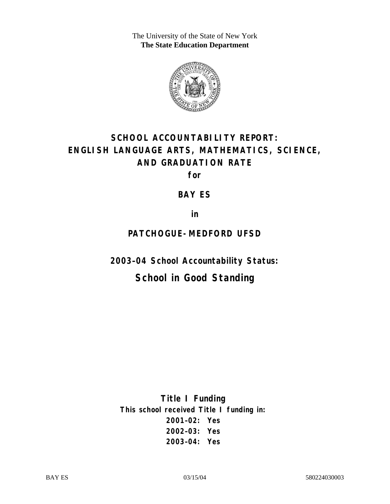The University of the State of New York **The State Education Department** 



# **SCHOOL ACCOUNTABILITY REPORT: ENGLISH LANGUAGE ARTS, MATHEMATICS, SCIENCE, AND GRADUATION RATE**

**for** 

#### **BAY ES**

**in** 

### **PATCHOGUE-MEDFORD UFSD**

**2003–04 School Accountability Status:** 

# **School in Good Standing**

**Title I Funding This school received Title I funding in: 2001–02: Yes 2002–03: Yes 2003–04: Yes**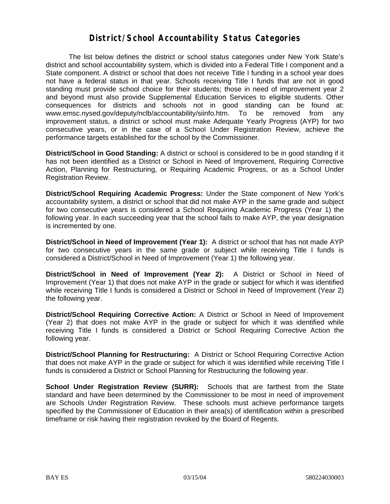#### **District/School Accountability Status Categories**

The list below defines the district or school status categories under New York State's district and school accountability system, which is divided into a Federal Title I component and a State component. A district or school that does not receive Title I funding in a school year does not have a federal status in that year. Schools receiving Title I funds that are not in good standing must provide school choice for their students; those in need of improvement year 2 and beyond must also provide Supplemental Education Services to eligible students. Other consequences for districts and schools not in good standing can be found at: www.emsc.nysed.gov/deputy/nclb/accountability/siinfo.htm. To be removed from any improvement status, a district or school must make Adequate Yearly Progress (AYP) for two consecutive years, or in the case of a School Under Registration Review, achieve the performance targets established for the school by the Commissioner.

**District/School in Good Standing:** A district or school is considered to be in good standing if it has not been identified as a District or School in Need of Improvement, Requiring Corrective Action, Planning for Restructuring, or Requiring Academic Progress, or as a School Under Registration Review.

**District/School Requiring Academic Progress:** Under the State component of New York's accountability system, a district or school that did not make AYP in the same grade and subject for two consecutive years is considered a School Requiring Academic Progress (Year 1) the following year. In each succeeding year that the school fails to make AYP, the year designation is incremented by one.

**District/School in Need of Improvement (Year 1):** A district or school that has not made AYP for two consecutive years in the same grade or subject while receiving Title I funds is considered a District/School in Need of Improvement (Year 1) the following year.

**District/School in Need of Improvement (Year 2):** A District or School in Need of Improvement (Year 1) that does not make AYP in the grade or subject for which it was identified while receiving Title I funds is considered a District or School in Need of Improvement (Year 2) the following year.

**District/School Requiring Corrective Action:** A District or School in Need of Improvement (Year 2) that does not make AYP in the grade or subject for which it was identified while receiving Title I funds is considered a District or School Requiring Corrective Action the following year.

**District/School Planning for Restructuring:** A District or School Requiring Corrective Action that does not make AYP in the grade or subject for which it was identified while receiving Title I funds is considered a District or School Planning for Restructuring the following year.

**School Under Registration Review (SURR):** Schools that are farthest from the State standard and have been determined by the Commissioner to be most in need of improvement are Schools Under Registration Review. These schools must achieve performance targets specified by the Commissioner of Education in their area(s) of identification within a prescribed timeframe or risk having their registration revoked by the Board of Regents.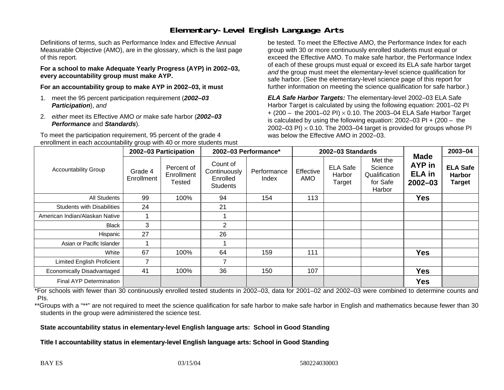# **Elementary-Level English Language Arts**

Definitions of terms, such as Performance Index and Effective Annual Measurable Objective (AMO), are in the glossary, which is the last page of this report.

**For a school to make Adequate Yearly Progress (AYP) in 2002–03, every accountability group must make AYP.** 

**For an accountability group to make AYP in 2002–03, it must** 

- 1. meet the 95 percent participation requirement (*2002–03 Participation*), *and*
- 2. *either* meet its Effective AMO *or* make safe harbor (*2002–03 Performance* and *Standards*).

To meet the participation requirement, 95 percent of the grade 4 enrollment in each accountability group with 40 or more students must

be tested. To meet the Effective AMO, the Performance Index for each group with 30 or more continuously enrolled students must equal or exceed the Effective AMO. To make safe harbor, the Performance Index of each of these groups must equal or exceed its ELA safe harbor target *and* the group must meet the elementary-level science qualification for safe harbor. (See the elementary-level science page of this report for further information on meeting the science qualification for safe harbor.)

*ELA Safe Harbor Targets:* The elementary-level 2002–03 ELA Safe Harbor Target is calculated by using the following equation: 2001–02 PI + (200 – the 2001–02 PI) <sup>×</sup> 0.10. The 2003–04 ELA Safe Harbor Target is calculated by using the following equation: 2002–03 PI + (200 – the 2002–03 PI)  $\times$  0.10. The 2003–04 target is provided for groups whose PI was below the Effective AMO in 2002–03.

| <b>Accountability Group</b>       | 2002-03 Participation |                                    | 2002-03 Performance*                                    |                      | 2002-03 Standards |                                     |                                                           |                                                              | 2003-04                                           |
|-----------------------------------|-----------------------|------------------------------------|---------------------------------------------------------|----------------------|-------------------|-------------------------------------|-----------------------------------------------------------|--------------------------------------------------------------|---------------------------------------------------|
|                                   | Grade 4<br>Enrollment | Percent of<br>Enrollment<br>Tested | Count of<br>Continuously<br>Enrolled<br><b>Students</b> | Performance<br>Index | Effective<br>AMO  | <b>ELA Safe</b><br>Harbor<br>Target | Met the<br>Science<br>Qualification<br>for Safe<br>Harbor | <b>Made</b><br><b>AYP</b> in<br><b>ELA</b> in<br>$2002 - 03$ | <b>ELA Safe</b><br><b>Harbor</b><br><b>Target</b> |
| All Students                      | 99                    | 100%                               | 94                                                      | 154                  | 113               |                                     |                                                           | <b>Yes</b>                                                   |                                                   |
| <b>Students with Disabilities</b> | 24                    |                                    | 21                                                      |                      |                   |                                     |                                                           |                                                              |                                                   |
| American Indian/Alaskan Native    |                       |                                    |                                                         |                      |                   |                                     |                                                           |                                                              |                                                   |
| Black                             | 3                     |                                    | $\overline{2}$                                          |                      |                   |                                     |                                                           |                                                              |                                                   |
| Hispanic                          | 27                    |                                    | 26                                                      |                      |                   |                                     |                                                           |                                                              |                                                   |
| Asian or Pacific Islander         |                       |                                    |                                                         |                      |                   |                                     |                                                           |                                                              |                                                   |
| White                             | 67                    | 100%                               | 64                                                      | 159                  | 111               |                                     |                                                           | <b>Yes</b>                                                   |                                                   |
| Limited English Proficient        |                       |                                    | $\overline{ }$                                          |                      |                   |                                     |                                                           |                                                              |                                                   |
| Economically Disadvantaged        | 41                    | 100%                               | 36                                                      | 150                  | 107               |                                     |                                                           | <b>Yes</b>                                                   |                                                   |
| Final AYP Determination           |                       |                                    |                                                         |                      |                   |                                     |                                                           | <b>Yes</b>                                                   |                                                   |

\*For schools with fewer than 30 continuously enrolled tested students in 2002–03, data for 2001–02 and 2002–03 were combined to determine counts and PIs.

\*\*Groups with a "\*\*" are not required to meet the science qualification for safe harbor to make safe harbor in English and mathematics because fewer than 30 students in the group were administered the science test.

**State accountability status in elementary-level English language arts: School in Good Standing** 

Title I accountability status in elementary-level English language arts: School in Good Standing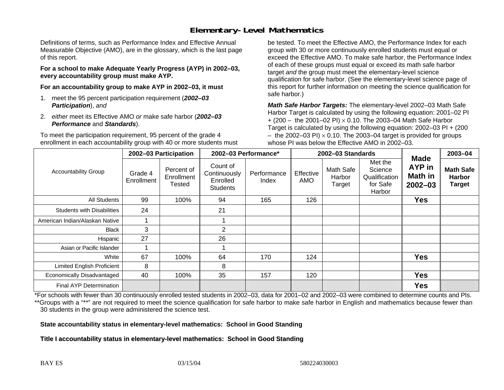# **Elementary-Level Mathematics**

Definitions of terms, such as Performance Index and Effective Annual Measurable Objective (AMO), are in the glossary, which is the last page of this report.

**For a school to make Adequate Yearly Progress (AYP) in 2002–03, every accountability group must make AYP.** 

**For an accountability group to make AYP in 2002–03, it must** 

- 1. meet the 95 percent participation requirement (*2002–03 Participation*), *and*
- 2. *either* meet its Effective AMO *or* make safe harbor (*2002–03 Performance* and *Standards*).

To meet the participation requirement, 95 percent of the grade 4 enrollment in each accountability group with 40 or more students must

be tested. To meet the Effective AMO, the Performance Index for each group with 30 or more continuously enrolled students must equal or exceed the Effective AMO. To make safe harbor, the Performance Index of each of these groups must equal or exceed its math safe harbor target *and* the group must meet the elementary-level science qualification for safe harbor. (See the elementary-level science page of this report for further information on meeting the science qualification for safe harbor.)

*Math Safe Harbor Targets:* The elementary-level 2002–03 Math Safe Harbor Target is calculated by using the following equation: 2001–02 PI + (200 – the 2001–02 PI) × 0.10. The 2003–04 Math Safe Harbor Target is calculated by using the following equation: 2002–03 PI + (200  $-$  the 2002–03 PI)  $\times$  0.10. The 2003–04 target is provided for groups whose PI was below the Effective AMO in 2002–03.

| <b>Accountability Group</b>       | 2002-03 Participation |                                    | 2002-03 Performance*                                    |                      | 2002-03 Standards |                               |                                                           |                                                        | 2003-04                                            |
|-----------------------------------|-----------------------|------------------------------------|---------------------------------------------------------|----------------------|-------------------|-------------------------------|-----------------------------------------------------------|--------------------------------------------------------|----------------------------------------------------|
|                                   | Grade 4<br>Enrollment | Percent of<br>Enrollment<br>Tested | Count of<br>Continuously<br>Enrolled<br><b>Students</b> | Performance<br>Index | Effective<br>AMO  | Math Safe<br>Harbor<br>Target | Met the<br>Science<br>Qualification<br>for Safe<br>Harbor | <b>Made</b><br><b>AYP</b> in<br>Math in<br>$2002 - 03$ | <b>Math Safe</b><br><b>Harbor</b><br><b>Target</b> |
| All Students                      | 99                    | 100%                               | 94                                                      | 165                  | 126               |                               |                                                           | <b>Yes</b>                                             |                                                    |
| <b>Students with Disabilities</b> | 24                    |                                    | 21                                                      |                      |                   |                               |                                                           |                                                        |                                                    |
| American Indian/Alaskan Native    |                       |                                    |                                                         |                      |                   |                               |                                                           |                                                        |                                                    |
| <b>Black</b>                      | 3                     |                                    | 2                                                       |                      |                   |                               |                                                           |                                                        |                                                    |
| Hispanic                          | 27                    |                                    | 26                                                      |                      |                   |                               |                                                           |                                                        |                                                    |
| Asian or Pacific Islander         |                       |                                    |                                                         |                      |                   |                               |                                                           |                                                        |                                                    |
| White                             | 67                    | 100%                               | 64                                                      | 170                  | 124               |                               |                                                           | <b>Yes</b>                                             |                                                    |
| <b>Limited English Proficient</b> | 8                     |                                    | 8                                                       |                      |                   |                               |                                                           |                                                        |                                                    |
| Economically Disadvantaged        | 40                    | 100%                               | 35                                                      | 157                  | 120               |                               |                                                           | <b>Yes</b>                                             |                                                    |
| Final AYP Determination           |                       |                                    |                                                         |                      |                   |                               |                                                           | <b>Yes</b>                                             |                                                    |

\*For schools with fewer than 30 continuously enrolled tested students in 2002–03, data for 2001–02 and 2002–03 were combined to determine counts and PIs. \*\*Groups with a "\*\*" are not required to meet the science qualification for safe harbor to make safe harbor in English and mathematics because fewer than 30 students in the group were administered the science test.

**State accountability status in elementary-level mathematics: School in Good Standing** 

Title I accountability status in elementary-level mathematics: School in Good Standing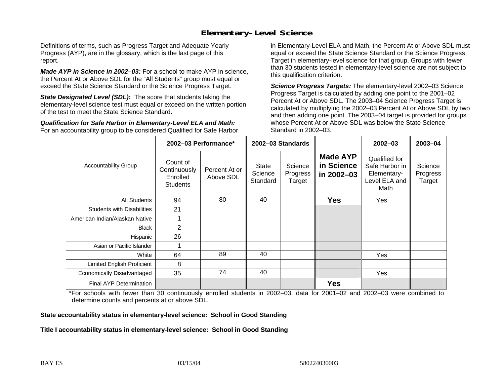### **Elementary-Level Science**

Definitions of terms, such as Progress Target and Adequate Yearly Progress (AYP), are in the glossary, which is the last page of this report.

*Made AYP in Science in 2002–03:* For a school to make AYP in science, the Percent At or Above SDL for the "All Students" group must equal or exceed the State Science Standard or the Science Progress Target.

**State Designated Level (SDL):** The score that students taking the elementary-level science test must equal or exceed on the written portion of the test to meet the State Science Standard.

*Qualification for Safe Harbor in Elementary-Level ELA and Math:* For an accountability group to be considered Qualified for Safe Harbor in Elementary-Level ELA and Math, the Percent At or Above SDL must equal or exceed the State Science Standard or the Science Progress Target in elementary-level science for that group. Groups with fewer than 30 students tested in elementary-level science are not subject to this qualification criterion.

*Science Progress Targets:* The elementary-level 2002–03 Science Progress Target is calculated by adding one point to the 2001–02 Percent At or Above SDL. The 2003–04 Science Progress Target is calculated by multiplying the 2002–03 Percent At or Above SDL by two and then adding one point. The 2003–04 target is provided for groups whose Percent At or Above SDL was below the State Science Standard in 2002–03.

|                                   |                                                         | 2002-03 Performance*       | 2002-03 Standards                   |                               |                                             | $2002 - 03$                                                             | 2003-04                       |
|-----------------------------------|---------------------------------------------------------|----------------------------|-------------------------------------|-------------------------------|---------------------------------------------|-------------------------------------------------------------------------|-------------------------------|
| <b>Accountability Group</b>       | Count of<br>Continuously<br>Enrolled<br><b>Students</b> | Percent At or<br>Above SDL | <b>State</b><br>Science<br>Standard | Science<br>Progress<br>Target | <b>Made AYP</b><br>in Science<br>in 2002-03 | Qualified for<br>Safe Harbor in<br>Elementary-<br>Level ELA and<br>Math | Science<br>Progress<br>Target |
| All Students                      | 94                                                      | 80                         | 40                                  |                               | <b>Yes</b>                                  | Yes                                                                     |                               |
| <b>Students with Disabilities</b> | 21                                                      |                            |                                     |                               |                                             |                                                                         |                               |
| American Indian/Alaskan Native    |                                                         |                            |                                     |                               |                                             |                                                                         |                               |
| <b>Black</b>                      | $\overline{2}$                                          |                            |                                     |                               |                                             |                                                                         |                               |
| Hispanic                          | 26                                                      |                            |                                     |                               |                                             |                                                                         |                               |
| Asian or Pacific Islander         |                                                         |                            |                                     |                               |                                             |                                                                         |                               |
| White                             | 64                                                      | 89                         | 40                                  |                               |                                             | Yes                                                                     |                               |
| Limited English Proficient        | 8                                                       |                            |                                     |                               |                                             |                                                                         |                               |
| Economically Disadvantaged        | 35                                                      | 74                         | 40                                  |                               |                                             | Yes                                                                     |                               |
| Final AYP Determination           |                                                         |                            |                                     |                               | <b>Yes</b>                                  |                                                                         |                               |

\*For schools with fewer than 30 continuously enrolled students in 2002–03, data for 2001–02 and 2002–03 were combined to determine counts and percents at or above SDL.

#### **State accountability status in elementary-level science: School in Good Standing**

#### Title I accountability status in elementary-level science: School in Good Standing